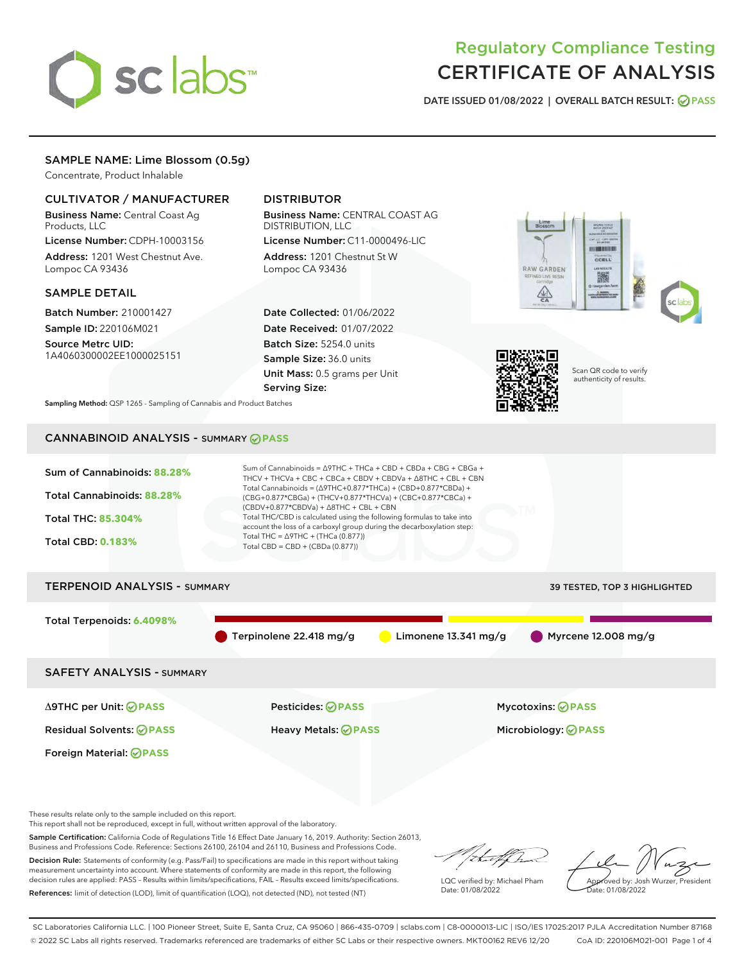# sclabs<sup>\*</sup>

### Regulatory Compliance Testing CERTIFICATE OF ANALYSIS

DATE ISSUED 01/08/2022 | OVERALL BATCH RESULT: @ PASS

### SAMPLE NAME: Lime Blossom (0.5g)

Concentrate, Product Inhalable

### CULTIVATOR / MANUFACTURER

Business Name: Central Coast Ag Products, LLC

License Number: CDPH-10003156 Address: 1201 West Chestnut Ave. Lompoc CA 93436

### SAMPLE DETAIL

Batch Number: 210001427 Sample ID: 220106M021

Source Metrc UID: 1A4060300002EE1000025151

### DISTRIBUTOR

Business Name: CENTRAL COAST AG DISTRIBUTION, LLC License Number: C11-0000496-LIC

Address: 1201 Chestnut St W Lompoc CA 93436

Date Collected: 01/06/2022 Date Received: 01/07/2022 Batch Size: 5254.0 units Sample Size: 36.0 units Unit Mass: 0.5 grams per Unit Serving Size:





Scan QR code to verify authenticity of results.

Sampling Method: QSP 1265 - Sampling of Cannabis and Product Batches

### CANNABINOID ANALYSIS - SUMMARY **PASS**



These results relate only to the sample included on this report.

This report shall not be reproduced, except in full, without written approval of the laboratory.

Sample Certification: California Code of Regulations Title 16 Effect Date January 16, 2019. Authority: Section 26013, Business and Professions Code. Reference: Sections 26100, 26104 and 26110, Business and Professions Code.

Decision Rule: Statements of conformity (e.g. Pass/Fail) to specifications are made in this report without taking measurement uncertainty into account. Where statements of conformity are made in this report, the following decision rules are applied: PASS – Results within limits/specifications, FAIL – Results exceed limits/specifications. References: limit of detection (LOD), limit of quantification (LOQ), not detected (ND), not tested (NT)

that f h

LQC verified by: Michael Pham Date: 01/08/2022

Approved by: Josh Wurzer, President ate: 01/08/2022

SC Laboratories California LLC. | 100 Pioneer Street, Suite E, Santa Cruz, CA 95060 | 866-435-0709 | sclabs.com | C8-0000013-LIC | ISO/IES 17025:2017 PJLA Accreditation Number 87168 © 2022 SC Labs all rights reserved. Trademarks referenced are trademarks of either SC Labs or their respective owners. MKT00162 REV6 12/20 CoA ID: 220106M021-001 Page 1 of 4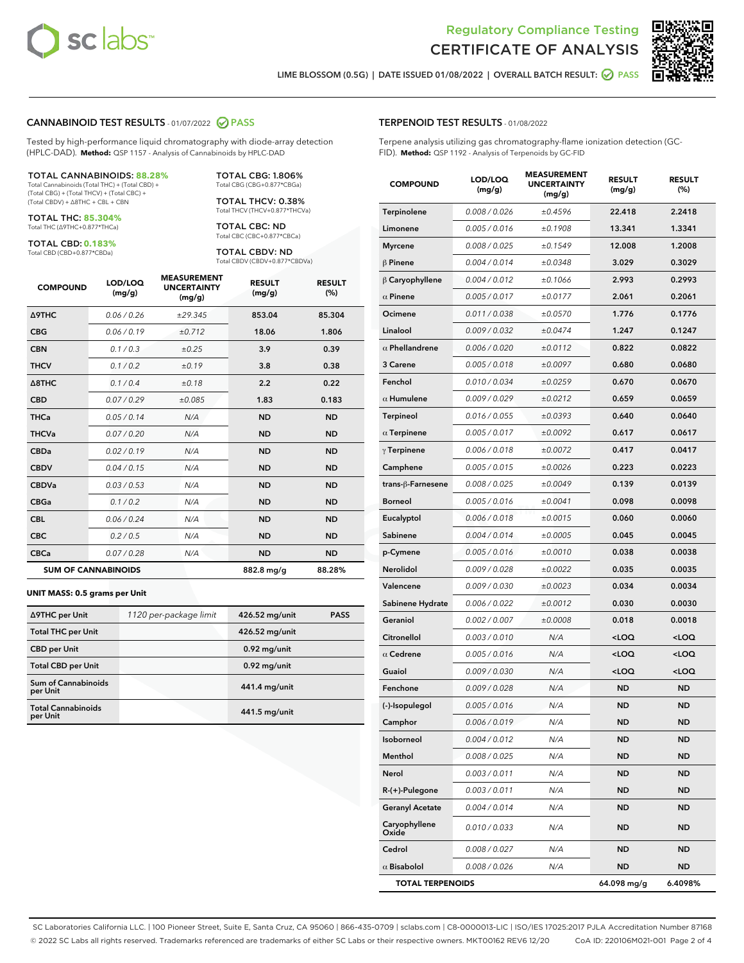



LIME BLOSSOM (0.5G) | DATE ISSUED 01/08/2022 | OVERALL BATCH RESULT: **● PASS** 

### CANNABINOID TEST RESULTS - 01/07/2022 2 PASS

Tested by high-performance liquid chromatography with diode-array detection (HPLC-DAD). **Method:** QSP 1157 - Analysis of Cannabinoids by HPLC-DAD

#### TOTAL CANNABINOIDS: **88.28%**

Total Cannabinoids (Total THC) + (Total CBD) + (Total CBG) + (Total THCV) + (Total CBC) + (Total CBDV) + ∆8THC + CBL + CBN

TOTAL THC: **85.304%** Total THC (∆9THC+0.877\*THCa)

TOTAL CBD: **0.183%**

Total CBD (CBD+0.877\*CBDa)

TOTAL CBG: 1.806% Total CBG (CBG+0.877\*CBGa)

TOTAL THCV: 0.38% Total THCV (THCV+0.877\*THCVa)

TOTAL CBC: ND Total CBC (CBC+0.877\*CBCa)

TOTAL CBDV: ND Total CBDV (CBDV+0.877\*CBDVa)

| <b>COMPOUND</b>  | LOD/LOQ<br>(mg/g)          | <b>MEASUREMENT</b><br><b>UNCERTAINTY</b><br>(mg/g) | <b>RESULT</b><br>(mg/g) | <b>RESULT</b><br>(%) |
|------------------|----------------------------|----------------------------------------------------|-------------------------|----------------------|
| <b>A9THC</b>     | 0.06 / 0.26                | ±29.345                                            | 853.04                  | 85.304               |
| <b>CBG</b>       | 0.06/0.19                  | ±0.712                                             | 18.06                   | 1.806                |
| <b>CBN</b>       | 0.1/0.3                    | ±0.25                                              | 3.9                     | 0.39                 |
| <b>THCV</b>      | 0.1/0.2                    | ±0.19                                              | 3.8                     | 0.38                 |
| $\triangle$ 8THC | 0.1/0.4                    | ±0.18                                              | 2.2                     | 0.22                 |
| <b>CBD</b>       | 0.07/0.29                  | ±0.085                                             | 1.83                    | 0.183                |
| <b>THCa</b>      | 0.05/0.14                  | N/A                                                | <b>ND</b>               | <b>ND</b>            |
| <b>THCVa</b>     | 0.07/0.20                  | N/A                                                | <b>ND</b>               | <b>ND</b>            |
| <b>CBDa</b>      | 0.02/0.19                  | N/A                                                | <b>ND</b>               | <b>ND</b>            |
| <b>CBDV</b>      | 0.04 / 0.15                | N/A                                                | <b>ND</b>               | <b>ND</b>            |
| <b>CBDVa</b>     | 0.03/0.53                  | N/A                                                | <b>ND</b>               | <b>ND</b>            |
| <b>CBGa</b>      | 0.1/0.2                    | N/A                                                | <b>ND</b>               | <b>ND</b>            |
| <b>CBL</b>       | 0.06 / 0.24                | N/A                                                | <b>ND</b>               | <b>ND</b>            |
| <b>CBC</b>       | 0.2 / 0.5                  | N/A                                                | <b>ND</b>               | <b>ND</b>            |
| <b>CBCa</b>      | 0.07/0.28                  | N/A                                                | <b>ND</b>               | <b>ND</b>            |
|                  | <b>SUM OF CANNABINOIDS</b> |                                                    | 882.8 mg/g              | 88.28%               |

#### **UNIT MASS: 0.5 grams per Unit**

| ∆9THC per Unit                        | 1120 per-package limit | 426.52 mg/unit | <b>PASS</b> |
|---------------------------------------|------------------------|----------------|-------------|
| <b>Total THC per Unit</b>             |                        | 426.52 mg/unit |             |
| <b>CBD</b> per Unit                   |                        | $0.92$ mg/unit |             |
| <b>Total CBD per Unit</b>             |                        | $0.92$ mg/unit |             |
| Sum of Cannabinoids<br>per Unit       |                        | 441.4 mg/unit  |             |
| <b>Total Cannabinoids</b><br>per Unit |                        | 441.5 mg/unit  |             |

## TERPENOID TEST RESULTS - 01/08/2022

Terpene analysis utilizing gas chromatography-flame ionization detection (GC-FID). **Method:** QSP 1192 - Analysis of Terpenoids by GC-FID

| <b>COMPOUND</b>         | LOD/LOQ<br>(mg/g) | <b>MEASUREMENT</b><br><b>UNCERTAINTY</b><br>(mg/g) | <b>RESULT</b><br>(mg/g)                         | <b>RESULT</b><br>$(\%)$ |
|-------------------------|-------------------|----------------------------------------------------|-------------------------------------------------|-------------------------|
| Terpinolene             | 0.008 / 0.026     | ±0.4596                                            | 22.418                                          | 2.2418                  |
| Limonene                | 0.005 / 0.016     | ±0.1908                                            | 13.341                                          | 1.3341                  |
| <b>Myrcene</b>          | 0.008 / 0.025     | ±0.1549                                            | 12.008                                          | 1.2008                  |
| $\beta$ Pinene          | 0.004 / 0.014     | ±0.0348                                            | 3.029                                           | 0.3029                  |
| $\beta$ Caryophyllene   | 0.004 / 0.012     | ±0.1066                                            | 2.993                                           | 0.2993                  |
| $\alpha$ Pinene         | 0.005 / 0.017     | ±0.0177                                            | 2.061                                           | 0.2061                  |
| Ocimene                 | 0.011 / 0.038     | ±0.0570                                            | 1.776                                           | 0.1776                  |
| Linalool                | 0.009 / 0.032     | ±0.0474                                            | 1.247                                           | 0.1247                  |
| $\alpha$ Phellandrene   | 0.006 / 0.020     | ±0.0112                                            | 0.822                                           | 0.0822                  |
| 3 Carene                | 0.005 / 0.018     | ±0.0097                                            | 0.680                                           | 0.0680                  |
| Fenchol                 | 0.010 / 0.034     | ±0.0259                                            | 0.670                                           | 0.0670                  |
| $\alpha$ Humulene       | 0.009/0.029       | ±0.0212                                            | 0.659                                           | 0.0659                  |
| <b>Terpineol</b>        | 0.016 / 0.055     | ±0.0393                                            | 0.640                                           | 0.0640                  |
| $\alpha$ Terpinene      | 0.005 / 0.017     | ±0.0092                                            | 0.617                                           | 0.0617                  |
| $\gamma$ Terpinene      | 0.006 / 0.018     | ±0.0072                                            | 0.417                                           | 0.0417                  |
| Camphene                | 0.005 / 0.015     | ±0.0026                                            | 0.223                                           | 0.0223                  |
| trans-β-Farnesene       | 0.008 / 0.025     | ±0.0049                                            | 0.139                                           | 0.0139                  |
| <b>Borneol</b>          | 0.005 / 0.016     | ±0.0041                                            | 0.098                                           | 0.0098                  |
| Eucalyptol              | 0.006 / 0.018     | ±0.0015                                            | 0.060                                           | 0.0060                  |
| Sabinene                | 0.004 / 0.014     | ±0.0005                                            | 0.045                                           | 0.0045                  |
| p-Cymene                | 0.005 / 0.016     | ±0.0010                                            | 0.038                                           | 0.0038                  |
| Nerolidol               | 0.009 / 0.028     | ±0.0022                                            | 0.035                                           | 0.0035                  |
| Valencene               | 0.009 / 0.030     | ±0.0023                                            | 0.034                                           | 0.0034                  |
| Sabinene Hydrate        | 0.006 / 0.022     | ±0.0012                                            | 0.030                                           | 0.0030                  |
| Geraniol                | 0.002 / 0.007     | ±0.0008                                            | 0.018                                           | 0.0018                  |
| Citronellol             | 0.003 / 0.010     | N/A                                                | <loq< th=""><th><loq< th=""></loq<></th></loq<> | <loq< th=""></loq<>     |
| $\alpha$ Cedrene        | 0.005 / 0.016     | N/A                                                | <loq< th=""><th><loq< th=""></loq<></th></loq<> | <loq< th=""></loq<>     |
| Guaiol                  | 0.009 / 0.030     | N/A                                                | <loq< th=""><th><loq< th=""></loq<></th></loq<> | <loq< th=""></loq<>     |
| Fenchone                | 0.009 / 0.028     | N/A                                                | <b>ND</b>                                       | <b>ND</b>               |
| (-)-Isopulegol          | 0.005 / 0.016     | N/A                                                | <b>ND</b>                                       | ND                      |
| Camphor                 | 0.006 / 0.019     | N/A                                                | ND                                              | ND                      |
| Isoborneol              | 0.004 / 0.012     | N/A                                                | ND                                              | <b>ND</b>               |
| Menthol                 | 0.008 / 0.025     | N/A                                                | ND                                              | ND                      |
| Nerol                   | 0.003 / 0.011     | N/A                                                | ND                                              | ND                      |
| R-(+)-Pulegone          | 0.003 / 0.011     | N/A                                                | ND                                              | <b>ND</b>               |
| <b>Geranyl Acetate</b>  | 0.004 / 0.014     | N/A                                                | <b>ND</b>                                       | ND                      |
| Caryophyllene<br>Oxide  | 0.010 / 0.033     | N/A                                                | ND                                              | ND                      |
| Cedrol                  | 0.008 / 0.027     | N/A                                                | ND                                              | <b>ND</b>               |
| $\alpha$ Bisabolol      | 0.008 / 0.026     | N/A                                                | ND                                              | ND                      |
| <b>TOTAL TERPENOIDS</b> |                   |                                                    | 64.098 mg/g                                     | 6.4098%                 |

SC Laboratories California LLC. | 100 Pioneer Street, Suite E, Santa Cruz, CA 95060 | 866-435-0709 | sclabs.com | C8-0000013-LIC | ISO/IES 17025:2017 PJLA Accreditation Number 87168 © 2022 SC Labs all rights reserved. Trademarks referenced are trademarks of either SC Labs or their respective owners. MKT00162 REV6 12/20 CoA ID: 220106M021-001 Page 2 of 4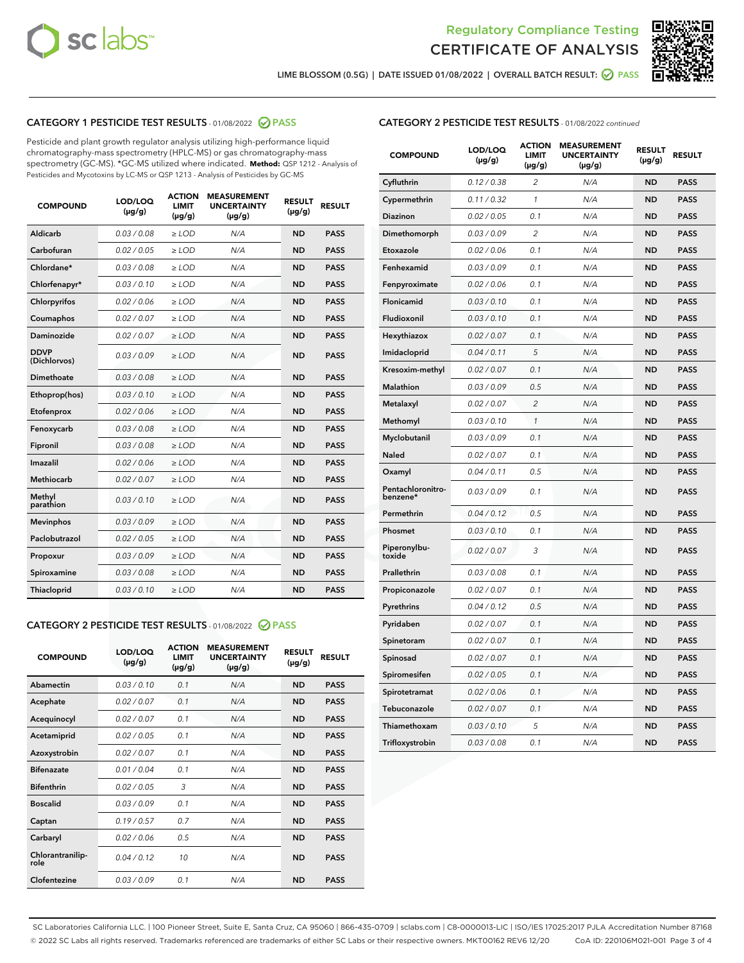



LIME BLOSSOM (0.5G) | DATE ISSUED 01/08/2022 | OVERALL BATCH RESULT:  $\bigcirc$  PASS

### CATEGORY 1 PESTICIDE TEST RESULTS - 01/08/2022 2 PASS

Pesticide and plant growth regulator analysis utilizing high-performance liquid chromatography-mass spectrometry (HPLC-MS) or gas chromatography-mass spectrometry (GC-MS). \*GC-MS utilized where indicated. **Method:** QSP 1212 - Analysis of Pesticides and Mycotoxins by LC-MS or QSP 1213 - Analysis of Pesticides by GC-MS

| <b>COMPOUND</b>             | LOD/LOQ<br>$(\mu g/g)$ | <b>ACTION</b><br><b>LIMIT</b><br>$(\mu g/g)$ | <b>MEASUREMENT</b><br><b>UNCERTAINTY</b><br>$(\mu g/g)$ | <b>RESULT</b><br>$(\mu g/g)$ | <b>RESULT</b> |
|-----------------------------|------------------------|----------------------------------------------|---------------------------------------------------------|------------------------------|---------------|
| Aldicarb                    | 0.03/0.08              | $>$ LOD                                      | N/A                                                     | <b>ND</b>                    | <b>PASS</b>   |
| Carbofuran                  | 0.02 / 0.05            | $\ge$ LOD                                    | N/A                                                     | <b>ND</b>                    | <b>PASS</b>   |
| Chlordane*                  | 0.03 / 0.08            | $\ge$ LOD                                    | N/A                                                     | <b>ND</b>                    | <b>PASS</b>   |
| Chlorfenapyr*               | 0.03/0.10              | $\ge$ LOD                                    | N/A                                                     | <b>ND</b>                    | <b>PASS</b>   |
| Chlorpyrifos                | 0.02 / 0.06            | $>$ LOD                                      | N/A                                                     | <b>ND</b>                    | <b>PASS</b>   |
| Coumaphos                   | 0.02 / 0.07            | $\ge$ LOD                                    | N/A                                                     | <b>ND</b>                    | <b>PASS</b>   |
| Daminozide                  | 0.02 / 0.07            | $\ge$ LOD                                    | N/A                                                     | <b>ND</b>                    | <b>PASS</b>   |
| <b>DDVP</b><br>(Dichlorvos) | 0.03/0.09              | $\ge$ LOD                                    | N/A                                                     | <b>ND</b>                    | <b>PASS</b>   |
| Dimethoate                  | 0.03/0.08              | $\ge$ LOD                                    | N/A                                                     | <b>ND</b>                    | <b>PASS</b>   |
| Ethoprop(hos)               | 0.03/0.10              | $>$ LOD                                      | N/A                                                     | <b>ND</b>                    | <b>PASS</b>   |
| Etofenprox                  | 0.02 / 0.06            | $\ge$ LOD                                    | N/A                                                     | <b>ND</b>                    | <b>PASS</b>   |
| Fenoxycarb                  | 0.03/0.08              | $\ge$ LOD                                    | N/A                                                     | <b>ND</b>                    | <b>PASS</b>   |
| Fipronil                    | 0.03/0.08              | $>$ LOD                                      | N/A                                                     | <b>ND</b>                    | <b>PASS</b>   |
| Imazalil                    | 0.02 / 0.06            | $\ge$ LOD                                    | N/A                                                     | <b>ND</b>                    | <b>PASS</b>   |
| Methiocarb                  | 0.02 / 0.07            | $>$ LOD                                      | N/A                                                     | <b>ND</b>                    | <b>PASS</b>   |
| Methyl<br>parathion         | 0.03/0.10              | $>$ LOD                                      | N/A                                                     | <b>ND</b>                    | <b>PASS</b>   |
| <b>Mevinphos</b>            | 0.03 / 0.09            | $>$ LOD                                      | N/A                                                     | <b>ND</b>                    | <b>PASS</b>   |
| Paclobutrazol               | 0.02 / 0.05            | $\ge$ LOD                                    | N/A                                                     | <b>ND</b>                    | <b>PASS</b>   |
| Propoxur                    | 0.03/0.09              | $\ge$ LOD                                    | N/A                                                     | <b>ND</b>                    | <b>PASS</b>   |
| Spiroxamine                 | 0.03 / 0.08            | $\ge$ LOD                                    | N/A                                                     | <b>ND</b>                    | <b>PASS</b>   |
| <b>Thiacloprid</b>          | 0.03/0.10              | $\ge$ LOD                                    | N/A                                                     | <b>ND</b>                    | <b>PASS</b>   |
|                             |                        |                                              |                                                         |                              |               |

### CATEGORY 2 PESTICIDE TEST RESULTS - 01/08/2022 PASS

| <b>COMPOUND</b>          | LOD/LOQ<br>$(\mu g/g)$ | <b>ACTION</b><br><b>LIMIT</b><br>$(\mu g/g)$ | <b>MEASUREMENT</b><br><b>UNCERTAINTY</b><br>$(\mu g/g)$ | <b>RESULT</b><br>$(\mu g/g)$ | <b>RESULT</b> |
|--------------------------|------------------------|----------------------------------------------|---------------------------------------------------------|------------------------------|---------------|
| Abamectin                | 0.03/0.10              | 0.1                                          | N/A                                                     | <b>ND</b>                    | <b>PASS</b>   |
| Acephate                 | 0.02/0.07              | 0.1                                          | N/A                                                     | <b>ND</b>                    | <b>PASS</b>   |
| Acequinocyl              | 0.02/0.07              | 0.1                                          | N/A                                                     | <b>ND</b>                    | <b>PASS</b>   |
| Acetamiprid              | 0.02/0.05              | 0.1                                          | N/A                                                     | <b>ND</b>                    | <b>PASS</b>   |
| Azoxystrobin             | 0.02/0.07              | 0.1                                          | N/A                                                     | <b>ND</b>                    | <b>PASS</b>   |
| <b>Bifenazate</b>        | 0.01/0.04              | 0.1                                          | N/A                                                     | <b>ND</b>                    | <b>PASS</b>   |
| <b>Bifenthrin</b>        | 0.02 / 0.05            | 3                                            | N/A                                                     | <b>ND</b>                    | <b>PASS</b>   |
| <b>Boscalid</b>          | 0.03/0.09              | 0.1                                          | N/A                                                     | <b>ND</b>                    | <b>PASS</b>   |
| Captan                   | 0.19/0.57              | 0.7                                          | N/A                                                     | <b>ND</b>                    | <b>PASS</b>   |
| Carbaryl                 | 0.02/0.06              | 0.5                                          | N/A                                                     | <b>ND</b>                    | <b>PASS</b>   |
| Chlorantranilip-<br>role | 0.04/0.12              | 10                                           | N/A                                                     | <b>ND</b>                    | <b>PASS</b>   |
| Clofentezine             | 0.03/0.09              | 0.1                                          | N/A                                                     | <b>ND</b>                    | <b>PASS</b>   |

### CATEGORY 2 PESTICIDE TEST RESULTS - 01/08/2022 continued

| <b>COMPOUND</b>               | LOD/LOQ<br>(µg/g) | <b>ACTION</b><br><b>LIMIT</b><br>$(\mu g/g)$ | <b>MEASUREMENT</b><br><b>UNCERTAINTY</b><br>(µg/g) | <b>RESULT</b><br>(µg/g) | <b>RESULT</b> |
|-------------------------------|-------------------|----------------------------------------------|----------------------------------------------------|-------------------------|---------------|
| Cyfluthrin                    | 0.12 / 0.38       | $\overline{c}$                               | N/A                                                | <b>ND</b>               | <b>PASS</b>   |
| Cypermethrin                  | 0.11 / 0.32       | 1                                            | N/A                                                | <b>ND</b>               | <b>PASS</b>   |
| <b>Diazinon</b>               | 0.02 / 0.05       | 0.1                                          | N/A                                                | <b>ND</b>               | <b>PASS</b>   |
| Dimethomorph                  | 0.03 / 0.09       | 2                                            | N/A                                                | <b>ND</b>               | <b>PASS</b>   |
| Etoxazole                     | 0.02 / 0.06       | 0.1                                          | N/A                                                | <b>ND</b>               | <b>PASS</b>   |
| Fenhexamid                    | 0.03 / 0.09       | 0.1                                          | N/A                                                | <b>ND</b>               | <b>PASS</b>   |
| Fenpyroximate                 | 0.02 / 0.06       | 0.1                                          | N/A                                                | <b>ND</b>               | <b>PASS</b>   |
| Flonicamid                    | 0.03 / 0.10       | 0.1                                          | N/A                                                | <b>ND</b>               | <b>PASS</b>   |
| Fludioxonil                   | 0.03 / 0.10       | 0.1                                          | N/A                                                | <b>ND</b>               | <b>PASS</b>   |
| Hexythiazox                   | 0.02 / 0.07       | 0.1                                          | N/A                                                | <b>ND</b>               | <b>PASS</b>   |
| Imidacloprid                  | 0.04 / 0.11       | 5                                            | N/A                                                | <b>ND</b>               | <b>PASS</b>   |
| Kresoxim-methyl               | 0.02 / 0.07       | 0.1                                          | N/A                                                | <b>ND</b>               | <b>PASS</b>   |
| <b>Malathion</b>              | 0.03 / 0.09       | 0.5                                          | N/A                                                | <b>ND</b>               | <b>PASS</b>   |
| Metalaxyl                     | 0.02 / 0.07       | $\overline{c}$                               | N/A                                                | <b>ND</b>               | <b>PASS</b>   |
| Methomyl                      | 0.03 / 0.10       | $\mathcal{I}$                                | N/A                                                | <b>ND</b>               | <b>PASS</b>   |
| Myclobutanil                  | 0.03 / 0.09       | 0.1                                          | N/A                                                | <b>ND</b>               | <b>PASS</b>   |
| Naled                         | 0.02 / 0.07       | 0.1                                          | N/A                                                | <b>ND</b>               | <b>PASS</b>   |
| Oxamyl                        | 0.04 / 0.11       | 0.5                                          | N/A                                                | <b>ND</b>               | <b>PASS</b>   |
| Pentachloronitro-<br>benzene* | 0.03 / 0.09       | 0.1                                          | N/A                                                | <b>ND</b>               | <b>PASS</b>   |
| Permethrin                    | 0.04 / 0.12       | 0.5                                          | N/A                                                | <b>ND</b>               | <b>PASS</b>   |
| Phosmet                       | 0.03 / 0.10       | 0.1                                          | N/A                                                | <b>ND</b>               | <b>PASS</b>   |
| Piperonylbu-<br>toxide        | 0.02 / 0.07       | 3                                            | N/A                                                | <b>ND</b>               | <b>PASS</b>   |
| Prallethrin                   | 0.03 / 0.08       | 0.1                                          | N/A                                                | <b>ND</b>               | <b>PASS</b>   |
| Propiconazole                 | 0.02 / 0.07       | 0.1                                          | N/A                                                | <b>ND</b>               | <b>PASS</b>   |
| Pyrethrins                    | 0.04 / 0.12       | 0.5                                          | N/A                                                | <b>ND</b>               | <b>PASS</b>   |
| Pyridaben                     | 0.02 / 0.07       | 0.1                                          | N/A                                                | <b>ND</b>               | <b>PASS</b>   |
| Spinetoram                    | 0.02 / 0.07       | 0.1                                          | N/A                                                | <b>ND</b>               | <b>PASS</b>   |
| Spinosad                      | 0.02 / 0.07       | 0.1                                          | N/A                                                | <b>ND</b>               | <b>PASS</b>   |
| Spiromesifen                  | 0.02 / 0.05       | 0.1                                          | N/A                                                | <b>ND</b>               | <b>PASS</b>   |
| Spirotetramat                 | 0.02 / 0.06       | 0.1                                          | N/A                                                | <b>ND</b>               | <b>PASS</b>   |
| Tebuconazole                  | 0.02 / 0.07       | 0.1                                          | N/A                                                | <b>ND</b>               | <b>PASS</b>   |
| Thiamethoxam                  | 0.03 / 0.10       | 5                                            | N/A                                                | <b>ND</b>               | <b>PASS</b>   |
| Trifloxystrobin               | 0.03 / 0.08       | 0.1                                          | N/A                                                | <b>ND</b>               | <b>PASS</b>   |

SC Laboratories California LLC. | 100 Pioneer Street, Suite E, Santa Cruz, CA 95060 | 866-435-0709 | sclabs.com | C8-0000013-LIC | ISO/IES 17025:2017 PJLA Accreditation Number 87168 © 2022 SC Labs all rights reserved. Trademarks referenced are trademarks of either SC Labs or their respective owners. MKT00162 REV6 12/20 CoA ID: 220106M021-001 Page 3 of 4